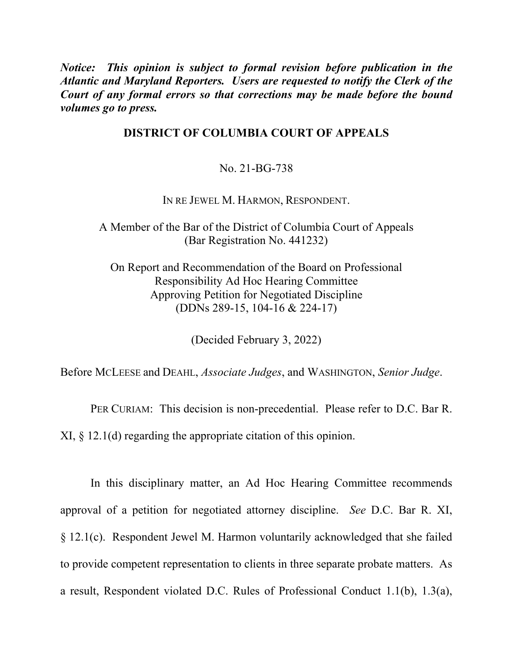*Notice: This opinion is subject to formal revision before publication in the Atlantic and Maryland Reporters. Users are requested to notify the Clerk of the Court of any formal errors so that corrections may be made before the bound volumes go to press.* 

## **DISTRICT OF COLUMBIA COURT OF APPEALS**

No. 21-BG-738

IN RE JEWEL M. HARMON, RESPONDENT.

A Member of the Bar of the District of Columbia Court of Appeals (Bar Registration No. 441232)

On Report and Recommendation of the Board on Professional Responsibility Ad Hoc Hearing Committee Approving Petition for Negotiated Discipline (DDNs 289-15, 104-16 & 224-17)

(Decided February 3, 2022)

Before MCLEESE and DEAHL, *Associate Judges*, and WASHINGTON, *Senior Judge*.

PER CURIAM: This decision is non-precedential. Please refer to D.C. Bar R.

XI, § 12.1(d) regarding the appropriate citation of this opinion.

In this disciplinary matter, an Ad Hoc Hearing Committee recommends approval of a petition for negotiated attorney discipline. *See* D.C. Bar R. XI, § 12.1(c). Respondent Jewel M. Harmon voluntarily acknowledged that she failed to provide competent representation to clients in three separate probate matters. As a result, Respondent violated D.C. Rules of Professional Conduct 1.1(b), 1.3(a),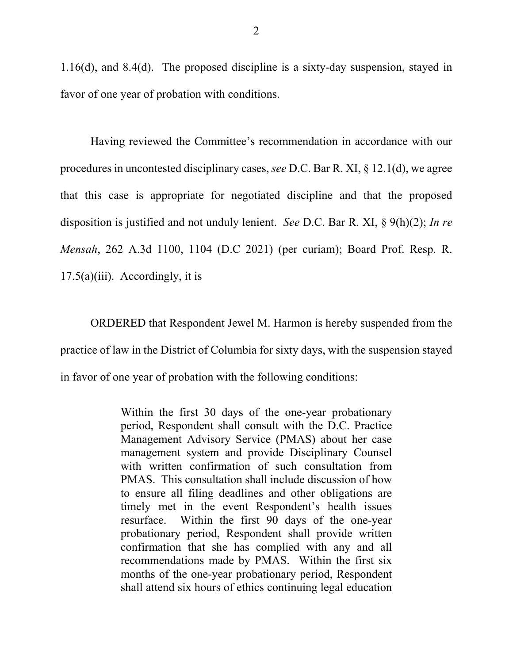1.16(d), and 8.4(d). The proposed discipline is a sixty-day suspension, stayed in favor of one year of probation with conditions.

Having reviewed the Committee's recommendation in accordance with our procedures in uncontested disciplinary cases, *see* D.C. Bar R. XI, § 12.1(d), we agree that this case is appropriate for negotiated discipline and that the proposed disposition is justified and not unduly lenient. *See* D.C. Bar R. XI, § 9(h)(2); *In re Mensah*, 262 A.3d 1100, 1104 (D.C 2021) (per curiam); Board Prof. Resp. R.  $17.5(a)(iii)$ . Accordingly, it is

ORDERED that Respondent Jewel M. Harmon is hereby suspended from the practice of law in the District of Columbia for sixty days, with the suspension stayed in favor of one year of probation with the following conditions:

> Within the first 30 days of the one-year probationary period, Respondent shall consult with the D.C. Practice Management Advisory Service (PMAS) about her case management system and provide Disciplinary Counsel with written confirmation of such consultation from PMAS. This consultation shall include discussion of how to ensure all filing deadlines and other obligations are timely met in the event Respondent's health issues resurface. Within the first 90 days of the one-year probationary period, Respondent shall provide written confirmation that she has complied with any and all recommendations made by PMAS. Within the first six months of the one-year probationary period, Respondent shall attend six hours of ethics continuing legal education